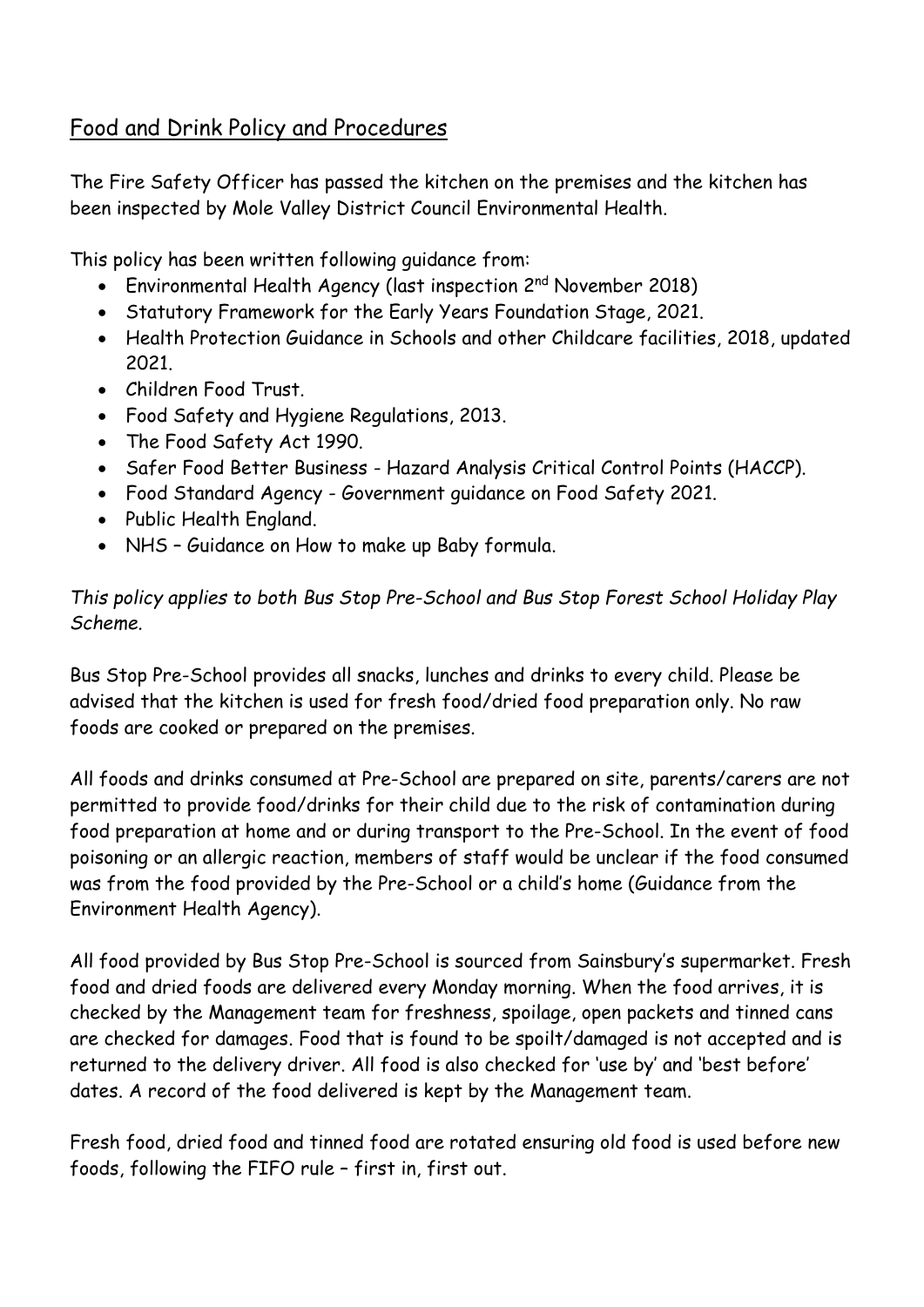# Food and Drink Policy and Procedures

The Fire Safety Officer has passed the kitchen on the premises and the kitchen has been inspected by Mole Valley District Council Environmental Health.

This policy has been written following guidance from:

- Environmental Health Agency (last inspection 2<sup>nd</sup> November 2018)
- Statutory Framework for the Early Years Foundation Stage, 2021.
- Health Protection Guidance in Schools and other Childcare facilities, 2018, updated 2021.
- Children Food Trust.
- Food Safety and Hygiene Regulations, 2013.
- The Food Safety Act 1990.
- Safer Food Better Business Hazard Analysis Critical Control Points (HACCP).
- Food Standard Agency Government guidance on Food Safety 2021.
- Public Health England.
- NHS Guidance on How to make up Baby formula.

*This policy applies to both Bus Stop Pre-School and Bus Stop Forest School Holiday Play Scheme.*

Bus Stop Pre-School provides all snacks, lunches and drinks to every child. Please be advised that the kitchen is used for fresh food/dried food preparation only. No raw foods are cooked or prepared on the premises.

All foods and drinks consumed at Pre-School are prepared on site, parents/carers are not permitted to provide food/drinks for their child due to the risk of contamination during food preparation at home and or during transport to the Pre-School. In the event of food poisoning or an allergic reaction, members of staff would be unclear if the food consumed was from the food provided by the Pre-School or a child's home (Guidance from the Environment Health Agency).

All food provided by Bus Stop Pre-School is sourced from Sainsbury's supermarket. Fresh food and dried foods are delivered every Monday morning. When the food arrives, it is checked by the Management team for freshness, spoilage, open packets and tinned cans are checked for damages. Food that is found to be spoilt/damaged is not accepted and is returned to the delivery driver. All food is also checked for 'use by' and 'best before' dates. A record of the food delivered is kept by the Management team.

Fresh food, dried food and tinned food are rotated ensuring old food is used before new foods, following the FIFO rule – first in, first out.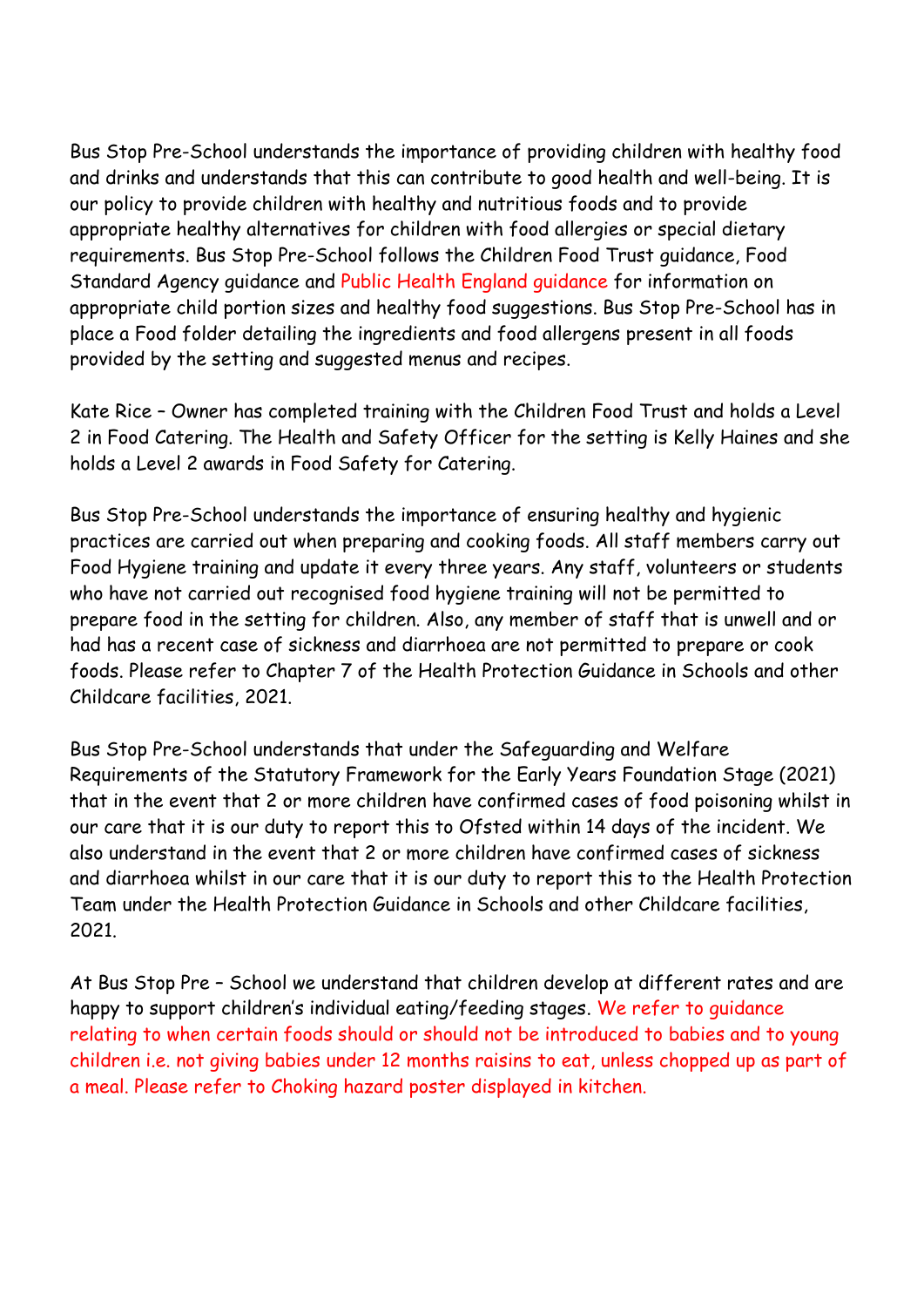Bus Stop Pre-School understands the importance of providing children with healthy food and drinks and understands that this can contribute to good health and well-being. It is our policy to provide children with healthy and nutritious foods and to provide appropriate healthy alternatives for children with food allergies or special dietary requirements. Bus Stop Pre-School follows the Children Food Trust guidance, Food Standard Agency guidance and Public Health England guidance for information on appropriate child portion sizes and healthy food suggestions. Bus Stop Pre-School has in place a Food folder detailing the ingredients and food allergens present in all foods provided by the setting and suggested menus and recipes.

Kate Rice – Owner has completed training with the Children Food Trust and holds a Level 2 in Food Catering. The Health and Safety Officer for the setting is Kelly Haines and she holds a Level 2 awards in Food Safety for Catering.

Bus Stop Pre-School understands the importance of ensuring healthy and hygienic practices are carried out when preparing and cooking foods. All staff members carry out Food Hygiene training and update it every three years. Any staff, volunteers or students who have not carried out recognised food hygiene training will not be permitted to prepare food in the setting for children. Also, any member of staff that is unwell and or had has a recent case of sickness and diarrhoea are not permitted to prepare or cook foods. Please refer to Chapter 7 of the Health Protection Guidance in Schools and other Childcare facilities, 2021.

Bus Stop Pre-School understands that under the Safeguarding and Welfare Requirements of the Statutory Framework for the Early Years Foundation Stage (2021) that in the event that 2 or more children have confirmed cases of food poisoning whilst in our care that it is our duty to report this to Ofsted within 14 days of the incident. We also understand in the event that 2 or more children have confirmed cases of sickness and diarrhoea whilst in our care that it is our duty to report this to the Health Protection Team under the Health Protection Guidance in Schools and other Childcare facilities, 2021.

At Bus Stop Pre – School we understand that children develop at different rates and are happy to support children's individual eating/feeding stages. We refer to guidance relating to when certain foods should or should not be introduced to babies and to young children i.e. not giving babies under 12 months raisins to eat, unless chopped up as part of a meal. Please refer to Choking hazard poster displayed in kitchen.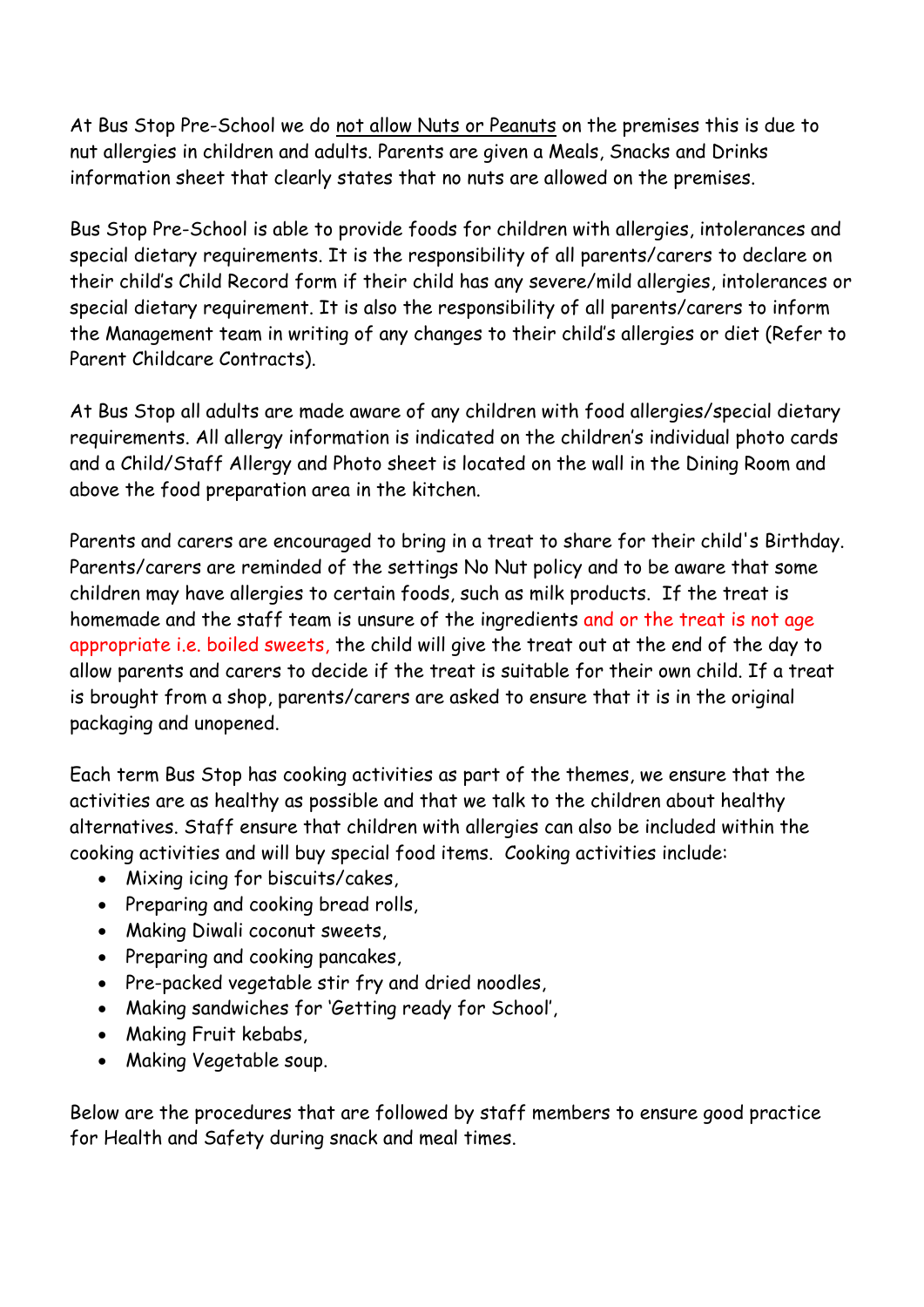At Bus Stop Pre-School we do not allow Nuts or Peanuts on the premises this is due to nut allergies in children and adults. Parents are given a Meals, Snacks and Drinks information sheet that clearly states that no nuts are allowed on the premises.

Bus Stop Pre-School is able to provide foods for children with allergies, intolerances and special dietary requirements. It is the responsibility of all parents/carers to declare on their child's Child Record form if their child has any severe/mild allergies, intolerances or special dietary requirement. It is also the responsibility of all parents/carers to inform the Management team in writing of any changes to their child's allergies or diet (Refer to Parent Childcare Contracts).

At Bus Stop all adults are made aware of any children with food allergies/special dietary requirements. All allergy information is indicated on the children's individual photo cards and a Child/Staff Allergy and Photo sheet is located on the wall in the Dining Room and above the food preparation area in the kitchen.

Parents and carers are encouraged to bring in a treat to share for their child's Birthday. Parents/carers are reminded of the settings No Nut policy and to be aware that some children may have allergies to certain foods, such as milk products. If the treat is homemade and the staff team is unsure of the ingredients and or the treat is not age appropriate i.e. boiled sweets, the child will give the treat out at the end of the day to allow parents and carers to decide if the treat is suitable for their own child. If a treat is brought from a shop, parents/carers are asked to ensure that it is in the original packaging and unopened.

Each term Bus Stop has cooking activities as part of the themes, we ensure that the activities are as healthy as possible and that we talk to the children about healthy alternatives. Staff ensure that children with allergies can also be included within the cooking activities and will buy special food items. Cooking activities include:

- Mixing icing for biscuits/cakes,
- Preparing and cooking bread rolls,
- Making Diwali coconut sweets,
- Preparing and cooking pancakes,
- Pre-packed vegetable stir fry and dried noodles,
- Making sandwiches for 'Getting ready for School',
- Making Fruit kebabs,
- Making Vegetable soup.

Below are the procedures that are followed by staff members to ensure good practice for Health and Safety during snack and meal times.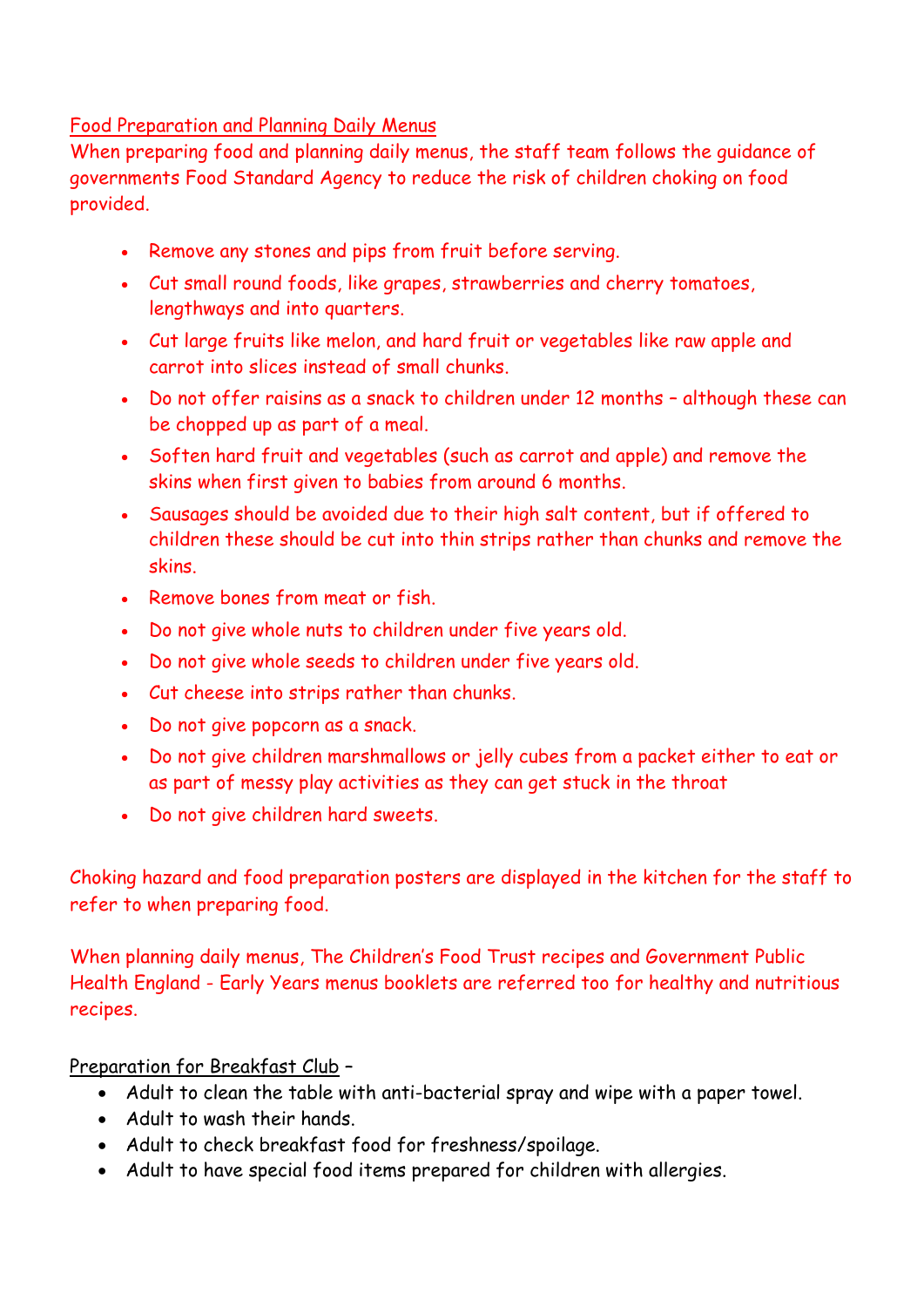## Food Preparation and Planning Daily Menus

When preparing food and planning daily menus, the staff team follows the guidance of governments Food Standard Agency to reduce the risk of children choking on food provided.

- Remove any stones and pips from fruit before serving.
- Cut small round foods, like grapes, strawberries and cherry tomatoes, lengthways and into quarters.
- Cut large fruits like melon, and hard fruit or vegetables like raw apple and carrot into slices instead of small chunks.
- Do not offer raisins as a snack to children under 12 months although these can be chopped up as part of a meal.
- Soften hard fruit and vegetables (such as carrot and apple) and remove the skins when first given to babies from around 6 months.
- Sausages should be avoided due to their high salt content, but if offered to children these should be cut into thin strips rather than chunks and remove the skins.
- Remove bones from meat or fish.
- Do not give whole nuts to children under five years old.
- Do not give whole seeds to children under five years old.
- Cut cheese into strips rather than chunks.
- Do not give popcorn as a snack.
- Do not give children marshmallows or jelly cubes from a packet either to eat or as part of messy play activities as they can get stuck in the throat
- Do not give children hard sweets.

Choking hazard and food preparation posters are displayed in the kitchen for the staff to refer to when preparing food.

When planning daily menus, The Children's Food Trust recipes and Government Public Health England - Early Years menus booklets are referred too for healthy and nutritious recipes.

# Preparation for Breakfast Club –

- Adult to clean the table with anti-bacterial spray and wipe with a paper towel.
- Adult to wash their hands.
- Adult to check breakfast food for freshness/spoilage.
- Adult to have special food items prepared for children with allergies.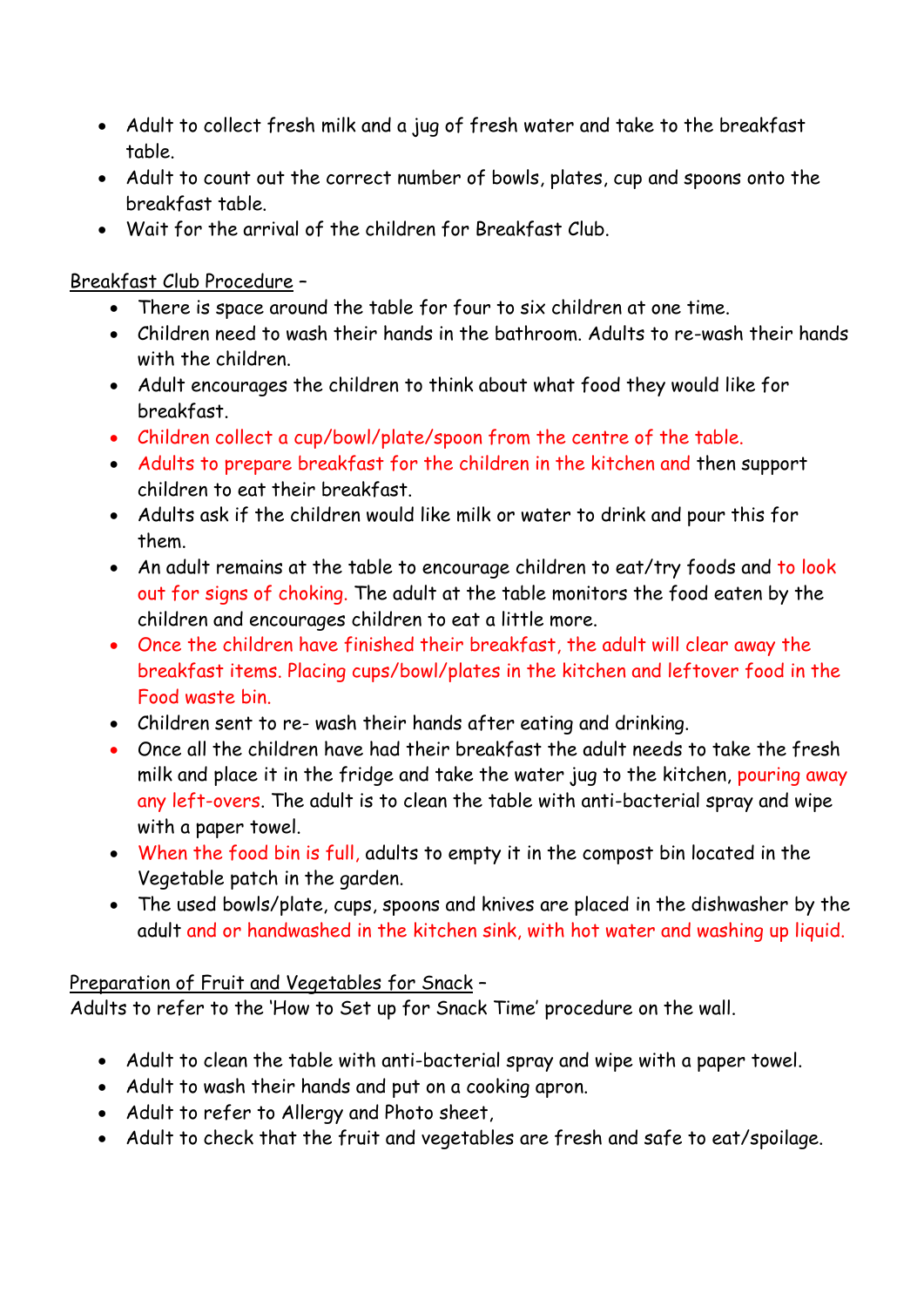- Adult to collect fresh milk and a jug of fresh water and take to the breakfast table.
- Adult to count out the correct number of bowls, plates, cup and spoons onto the breakfast table.
- Wait for the arrival of the children for Breakfast Club.

# Breakfast Club Procedure –

- There is space around the table for four to six children at one time.
- Children need to wash their hands in the bathroom. Adults to re-wash their hands with the children.
- Adult encourages the children to think about what food they would like for breakfast.
- Children collect a cup/bowl/plate/spoon from the centre of the table.
- Adults to prepare breakfast for the children in the kitchen and then support children to eat their breakfast.
- Adults ask if the children would like milk or water to drink and pour this for them.
- An adult remains at the table to encourage children to eat/try foods and to look out for signs of choking. The adult at the table monitors the food eaten by the children and encourages children to eat a little more.
- Once the children have finished their breakfast, the adult will clear away the breakfast items. Placing cups/bowl/plates in the kitchen and leftover food in the Food waste bin.
- Children sent to re- wash their hands after eating and drinking.
- Once all the children have had their breakfast the adult needs to take the fresh milk and place it in the fridge and take the water jug to the kitchen, pouring away any left-overs. The adult is to clean the table with anti-bacterial spray and wipe with a paper towel.
- When the food bin is full, adults to empty it in the compost bin located in the Vegetable patch in the garden.
- The used bowls/plate, cups, spoons and knives are placed in the dishwasher by the adult and or handwashed in the kitchen sink, with hot water and washing up liquid.

# Preparation of Fruit and Vegetables for Snack –

Adults to refer to the 'How to Set up for Snack Time' procedure on the wall.

- Adult to clean the table with anti-bacterial spray and wipe with a paper towel.
- Adult to wash their hands and put on a cooking apron.
- Adult to refer to Allergy and Photo sheet,
- Adult to check that the fruit and vegetables are fresh and safe to eat/spoilage.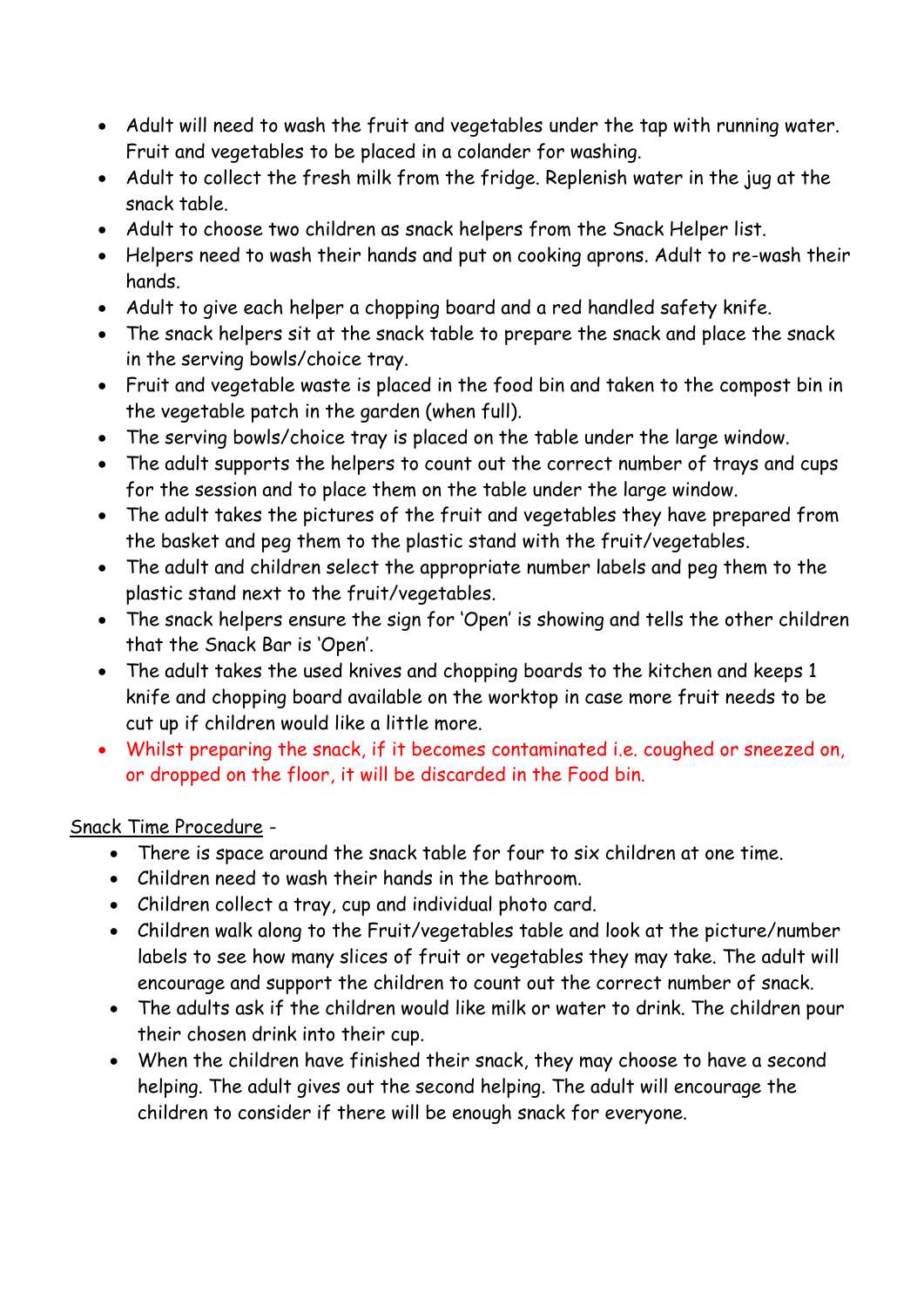- Adult will need to wash the fruit and vegetables under the tap with running water. Fruit and vegetables to be placed in a colander for washing.
- Adult to collect the fresh milk from the fridge. Replenish water in the jug at the snack table.
- Adult to choose two children as snack helpers from the Snack Helper list.
- Helpers need to wash their hands and put on cooking aprons. Adult to re-wash their hands.
- Adult to give each helper a chopping board and a red handled safety knife.
- The snack helpers sit at the snack table to prepare the snack and place the snack in the serving bowls/choice tray.
- Fruit and vegetable waste is placed in the food bin and taken to the compost bin in the vegetable patch in the garden (when full).
- The serving bowls/choice tray is placed on the table under the large window.
- The adult supports the helpers to count out the correct number of trays and cups for the session and to place them on the table under the large window.
- The adult takes the pictures of the fruit and vegetables they have prepared from the basket and peg them to the plastic stand with the fruit/vegetables.
- The adult and children select the appropriate number labels and peg them to the plastic stand next to the fruit/vegetables.
- The snack helpers ensure the sign for 'Open' is showing and tells the other children that the Snack Bar is 'Open'.
- The adult takes the used knives and chopping boards to the kitchen and keeps 1 knife and chopping board available on the worktop in case more fruit needs to be cut up if children would like a little more.
- Whilst preparing the snack, if it becomes contaminated i.e. coughed or sneezed on, or dropped on the floor, it will be discarded in the Food bin.

# Snack Time Procedure -

- There is space around the snack table for four to six children at one time.
- Children need to wash their hands in the bathroom.
- Children collect a tray, cup and individual photo card.
- Children walk along to the Fruit/vegetables table and look at the picture/number labels to see how many slices of fruit or vegetables they may take. The adult will encourage and support the children to count out the correct number of snack.
- The adults ask if the children would like milk or water to drink. The children pour their chosen drink into their cup.
- When the children have finished their snack, they may choose to have a second helping. The adult gives out the second helping. The adult will encourage the children to consider if there will be enough snack for everyone.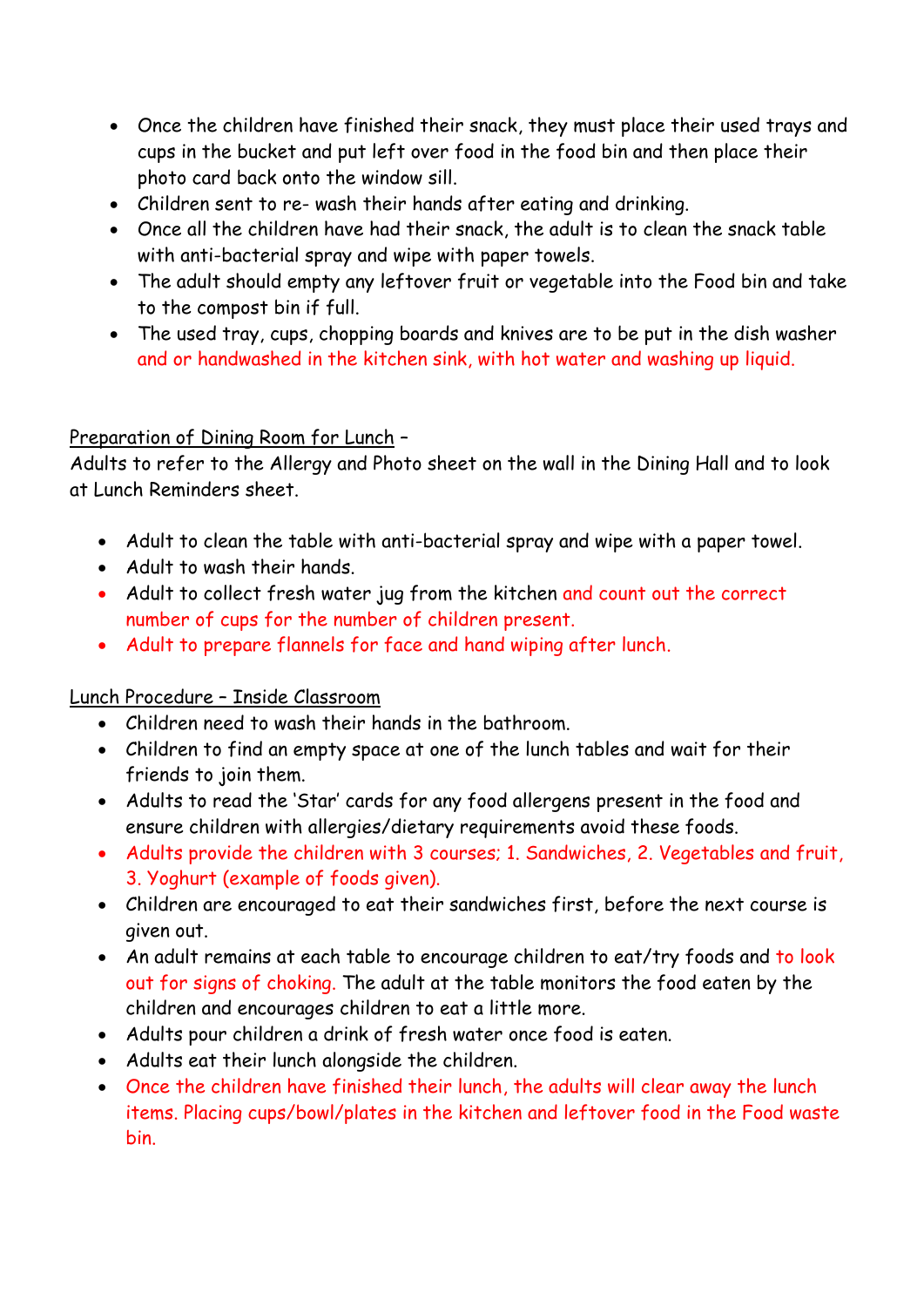- Once the children have finished their snack, they must place their used trays and cups in the bucket and put left over food in the food bin and then place their photo card back onto the window sill.
- Children sent to re- wash their hands after eating and drinking.
- Once all the children have had their snack, the adult is to clean the snack table with anti-bacterial spray and wipe with paper towels.
- The adult should empty any leftover fruit or vegetable into the Food bin and take to the compost bin if full.
- The used tray, cups, chopping boards and knives are to be put in the dish washer and or handwashed in the kitchen sink, with hot water and washing up liquid.

## Preparation of Dining Room for Lunch –

Adults to refer to the Allergy and Photo sheet on the wall in the Dining Hall and to look at Lunch Reminders sheet.

- Adult to clean the table with anti-bacterial spray and wipe with a paper towel.
- Adult to wash their hands.
- Adult to collect fresh water jug from the kitchen and count out the correct number of cups for the number of children present.
- Adult to prepare flannels for face and hand wiping after lunch.

### Lunch Procedure – Inside Classroom

- Children need to wash their hands in the bathroom.
- Children to find an empty space at one of the lunch tables and wait for their friends to join them.
- Adults to read the 'Star' cards for any food allergens present in the food and ensure children with allergies/dietary requirements avoid these foods.
- Adults provide the children with 3 courses; 1. Sandwiches, 2. Vegetables and fruit, 3. Yoghurt (example of foods given).
- Children are encouraged to eat their sandwiches first, before the next course is given out.
- An adult remains at each table to encourage children to eat/try foods and to look out for signs of choking. The adult at the table monitors the food eaten by the children and encourages children to eat a little more.
- Adults pour children a drink of fresh water once food is eaten.
- Adults eat their lunch alongside the children.
- Once the children have finished their lunch, the adults will clear away the lunch items. Placing cups/bowl/plates in the kitchen and leftover food in the Food waste bin.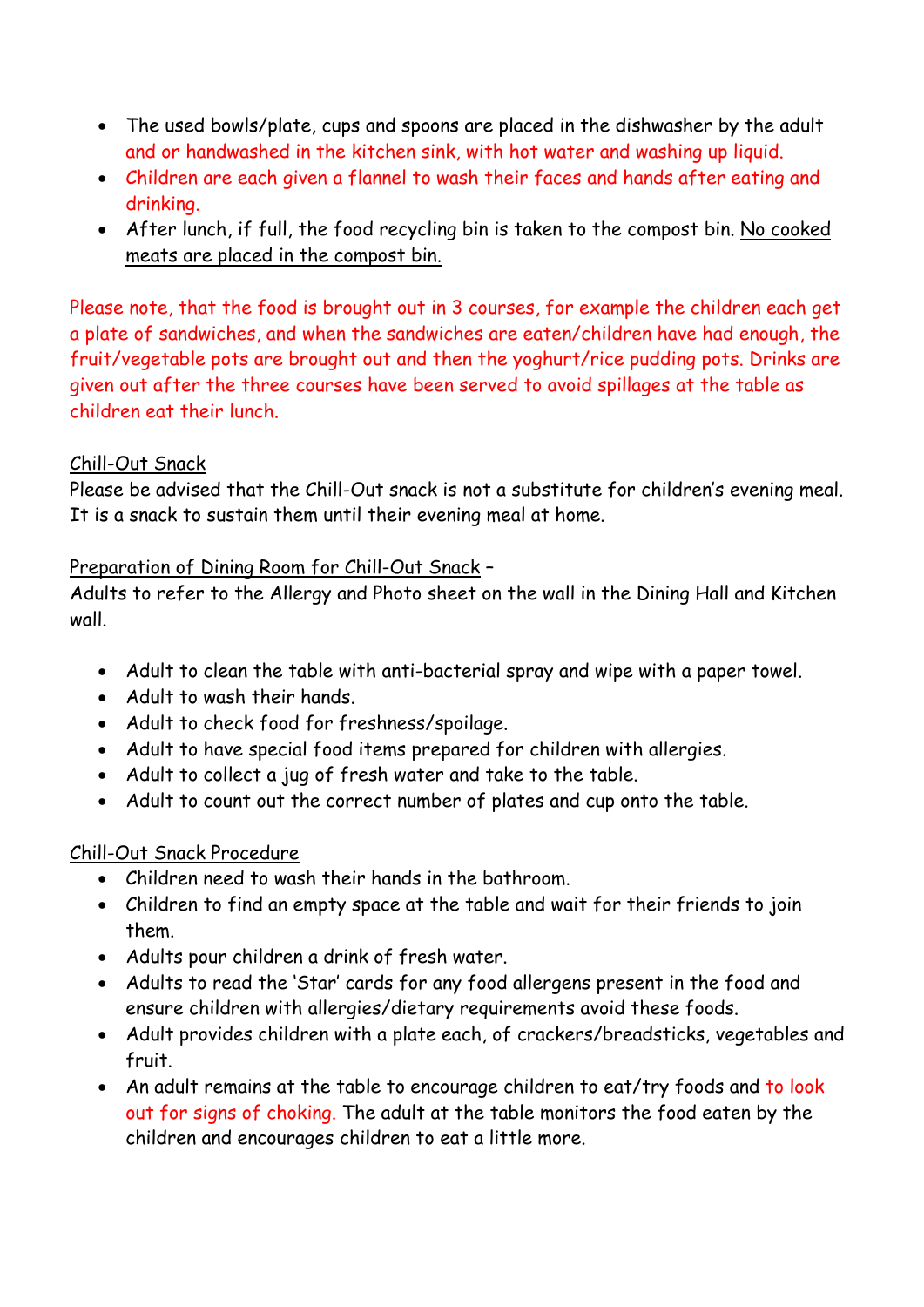- The used bowls/plate, cups and spoons are placed in the dishwasher by the adult and or handwashed in the kitchen sink, with hot water and washing up liquid.
- Children are each given a flannel to wash their faces and hands after eating and drinking.
- After lunch, if full, the food recycling bin is taken to the compost bin. No cooked meats are placed in the compost bin.

Please note, that the food is brought out in 3 courses, for example the children each get a plate of sandwiches, and when the sandwiches are eaten/children have had enough, the fruit/vegetable pots are brought out and then the yoghurt/rice pudding pots. Drinks are given out after the three courses have been served to avoid spillages at the table as children eat their lunch.

## Chill-Out Snack

Please be advised that the Chill-Out snack is not a substitute for children's evening meal. It is a snack to sustain them until their evening meal at home.

## Preparation of Dining Room for Chill-Out Snack –

Adults to refer to the Allergy and Photo sheet on the wall in the Dining Hall and Kitchen wall.

- Adult to clean the table with anti-bacterial spray and wipe with a paper towel.
- Adult to wash their hands.
- Adult to check food for freshness/spoilage.
- Adult to have special food items prepared for children with allergies.
- Adult to collect a jug of fresh water and take to the table.
- Adult to count out the correct number of plates and cup onto the table.

### Chill-Out Snack Procedure

- Children need to wash their hands in the bathroom.
- Children to find an empty space at the table and wait for their friends to join them.
- Adults pour children a drink of fresh water.
- Adults to read the 'Star' cards for any food allergens present in the food and ensure children with allergies/dietary requirements avoid these foods.
- Adult provides children with a plate each, of crackers/breadsticks, vegetables and fruit.
- An adult remains at the table to encourage children to eat/try foods and to look out for signs of choking. The adult at the table monitors the food eaten by the children and encourages children to eat a little more.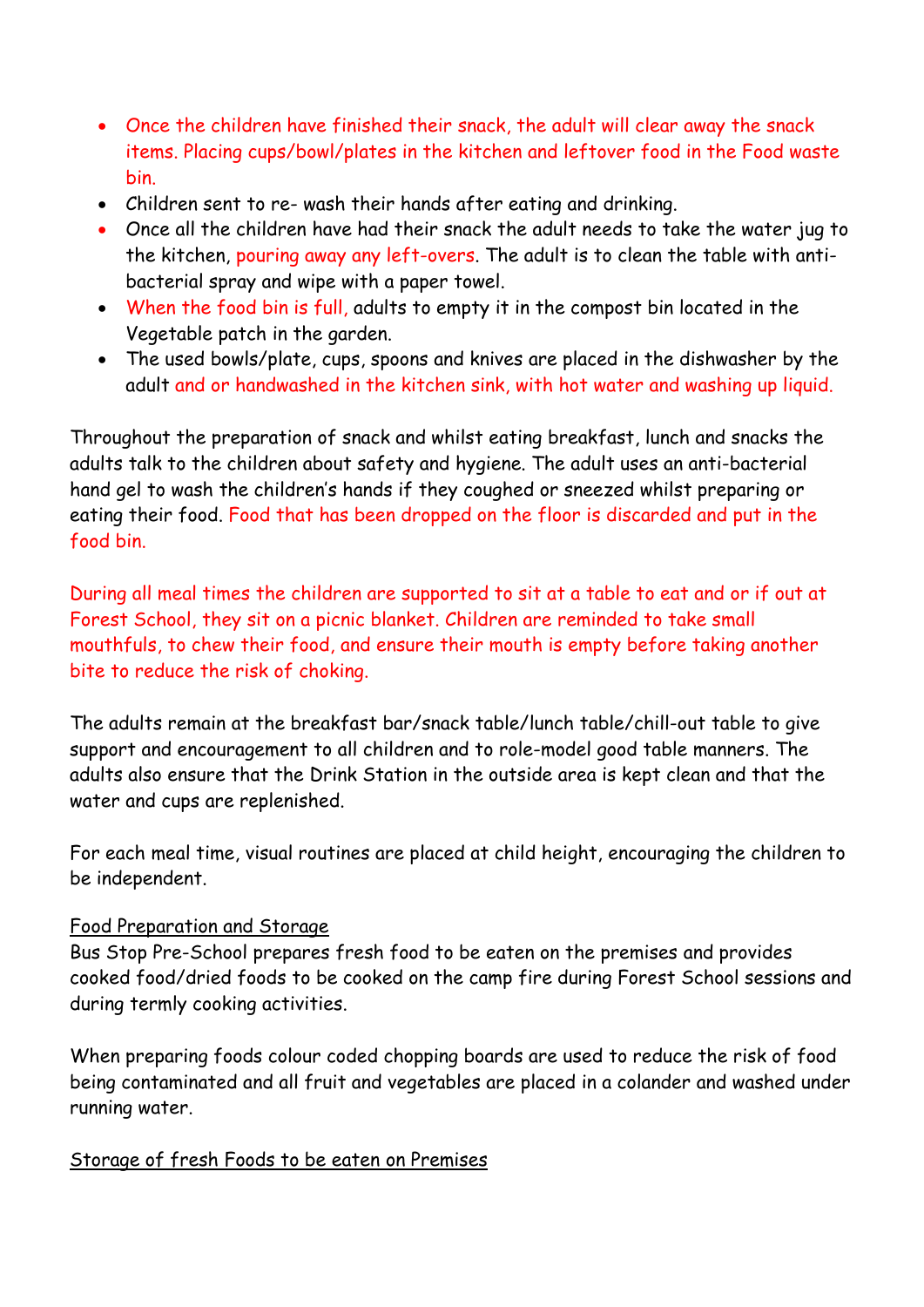- Once the children have finished their snack, the adult will clear away the snack items. Placing cups/bowl/plates in the kitchen and leftover food in the Food waste bin.
- Children sent to re- wash their hands after eating and drinking.
- Once all the children have had their snack the adult needs to take the water jug to the kitchen, pouring away any left-overs. The adult is to clean the table with antibacterial spray and wipe with a paper towel.
- When the food bin is full, adults to empty it in the compost bin located in the Vegetable patch in the garden.
- The used bowls/plate, cups, spoons and knives are placed in the dishwasher by the adult and or handwashed in the kitchen sink, with hot water and washing up liquid.

Throughout the preparation of snack and whilst eating breakfast, lunch and snacks the adults talk to the children about safety and hygiene. The adult uses an anti-bacterial hand gel to wash the children's hands if they coughed or sneezed whilst preparing or eating their food. Food that has been dropped on the floor is discarded and put in the food bin.

During all meal times the children are supported to sit at a table to eat and or if out at Forest School, they sit on a picnic blanket. Children are reminded to take small mouthfuls, to chew their food, and ensure their mouth is empty before taking another bite to reduce the risk of choking.

The adults remain at the breakfast bar/snack table/lunch table/chill-out table to give support and encouragement to all children and to role-model good table manners. The adults also ensure that the Drink Station in the outside area is kept clean and that the water and cups are replenished.

For each meal time, visual routines are placed at child height, encouraging the children to be independent.

### Food Preparation and Storage

Bus Stop Pre-School prepares fresh food to be eaten on the premises and provides cooked food/dried foods to be cooked on the camp fire during Forest School sessions and during termly cooking activities.

When preparing foods colour coded chopping boards are used to reduce the risk of food being contaminated and all fruit and vegetables are placed in a colander and washed under running water.

### Storage of fresh Foods to be eaten on Premises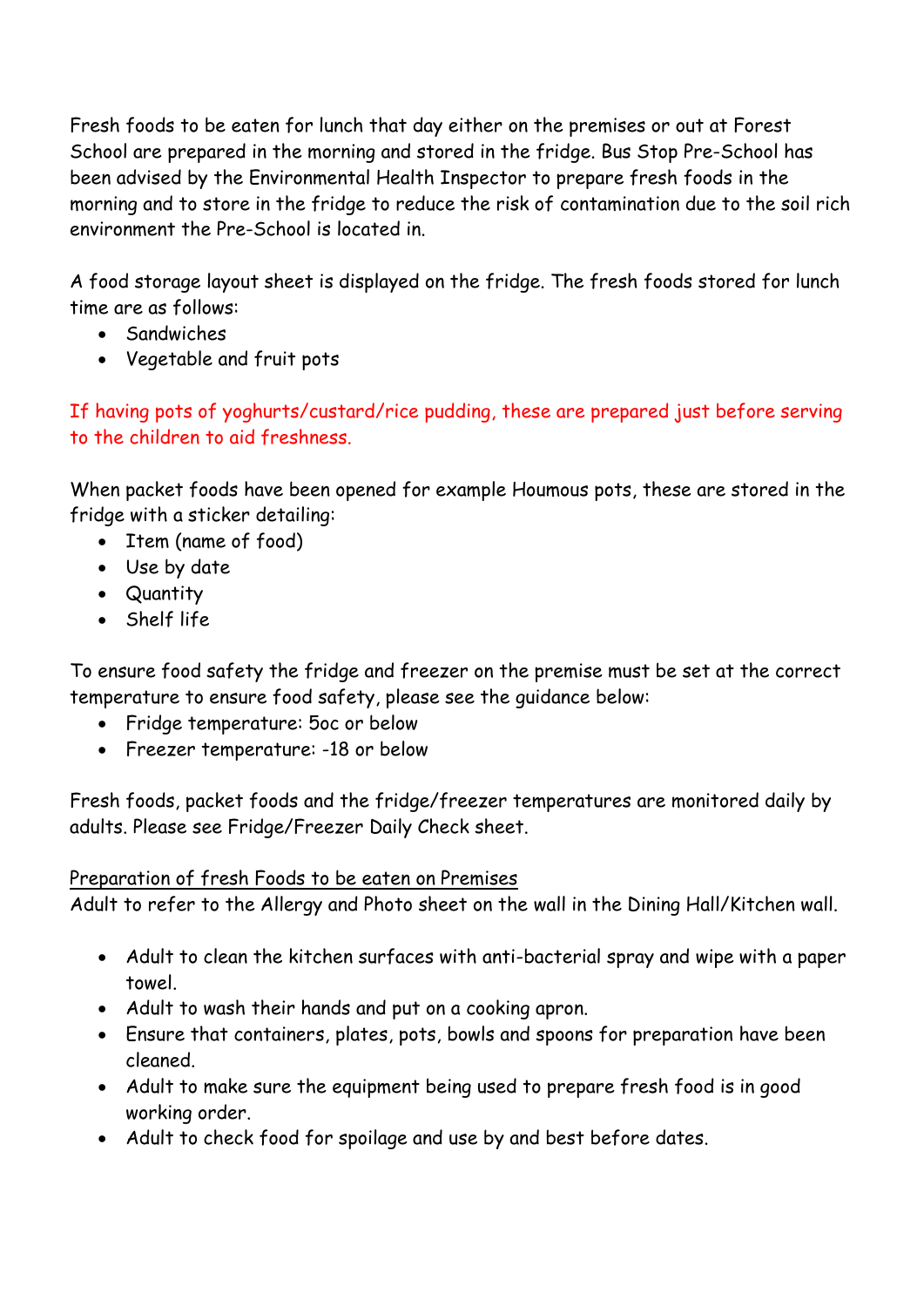Fresh foods to be eaten for lunch that day either on the premises or out at Forest School are prepared in the morning and stored in the fridge. Bus Stop Pre-School has been advised by the Environmental Health Inspector to prepare fresh foods in the morning and to store in the fridge to reduce the risk of contamination due to the soil rich environment the Pre-School is located in.

A food storage layout sheet is displayed on the fridge. The fresh foods stored for lunch time are as follows:

- Sandwiches
- Vegetable and fruit pots

If having pots of yoghurts/custard/rice pudding, these are prepared just before serving to the children to aid freshness.

When packet foods have been opened for example Houmous pots, these are stored in the fridge with a sticker detailing:

- Item (name of food)
- Use by date
- Quantity
- Shelf life

To ensure food safety the fridge and freezer on the premise must be set at the correct temperature to ensure food safety, please see the guidance below:

- Fridge temperature: 5oc or below
- Freezer temperature: -18 or below

Fresh foods, packet foods and the fridge/freezer temperatures are monitored daily by adults. Please see Fridge/Freezer Daily Check sheet.

# Preparation of fresh Foods to be eaten on Premises

Adult to refer to the Allergy and Photo sheet on the wall in the Dining Hall/Kitchen wall.

- Adult to clean the kitchen surfaces with anti-bacterial spray and wipe with a paper towel.
- Adult to wash their hands and put on a cooking apron.
- Ensure that containers, plates, pots, bowls and spoons for preparation have been cleaned.
- Adult to make sure the equipment being used to prepare fresh food is in good working order.
- Adult to check food for spoilage and use by and best before dates.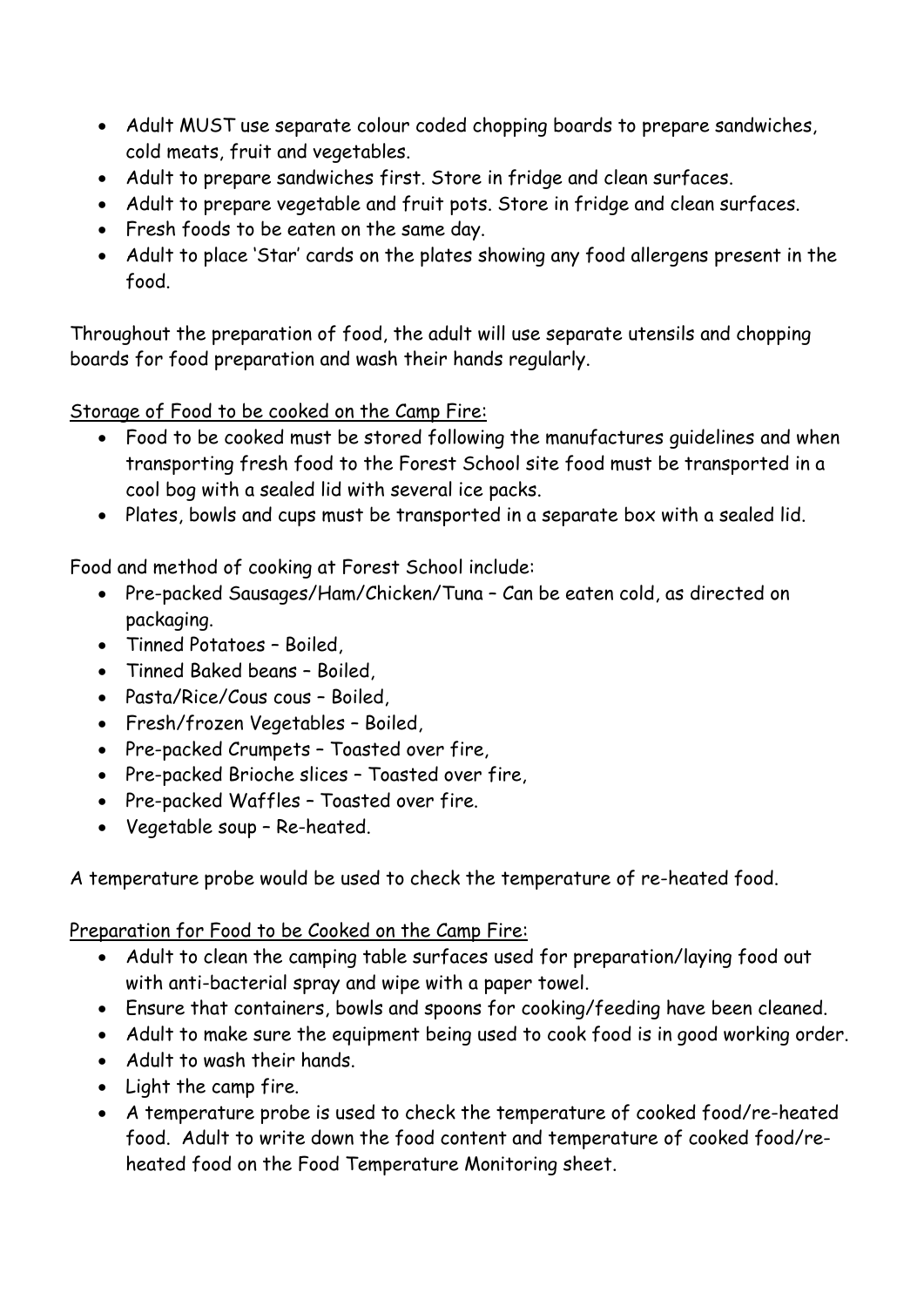- Adult MUST use separate colour coded chopping boards to prepare sandwiches, cold meats, fruit and vegetables.
- Adult to prepare sandwiches first. Store in fridge and clean surfaces.
- Adult to prepare vegetable and fruit pots. Store in fridge and clean surfaces.
- Fresh foods to be eaten on the same day.
- Adult to place 'Star' cards on the plates showing any food allergens present in the food.

Throughout the preparation of food, the adult will use separate utensils and chopping boards for food preparation and wash their hands regularly.

Storage of Food to be cooked on the Camp Fire:

- Food to be cooked must be stored following the manufactures guidelines and when transporting fresh food to the Forest School site food must be transported in a cool bog with a sealed lid with several ice packs.
- Plates, bowls and cups must be transported in a separate box with a sealed lid.

Food and method of cooking at Forest School include:

- Pre-packed Sausages/Ham/Chicken/Tuna Can be eaten cold, as directed on packaging.
- Tinned Potatoes Boiled,
- Tinned Baked beans Boiled,
- Pasta/Rice/Cous cous Boiled,
- Fresh/frozen Vegetables Boiled,
- Pre-packed Crumpets Toasted over fire,
- Pre-packed Brioche slices Toasted over fire,
- Pre-packed Waffles Toasted over fire.
- Vegetable soup Re-heated.

A temperature probe would be used to check the temperature of re-heated food.

Preparation for Food to be Cooked on the Camp Fire:

- Adult to clean the camping table surfaces used for preparation/laying food out with anti-bacterial spray and wipe with a paper towel.
- Ensure that containers, bowls and spoons for cooking/feeding have been cleaned.
- Adult to make sure the equipment being used to cook food is in good working order.
- Adult to wash their hands.
- Light the camp fire.
- A temperature probe is used to check the temperature of cooked food/re-heated food. Adult to write down the food content and temperature of cooked food/reheated food on the Food Temperature Monitoring sheet.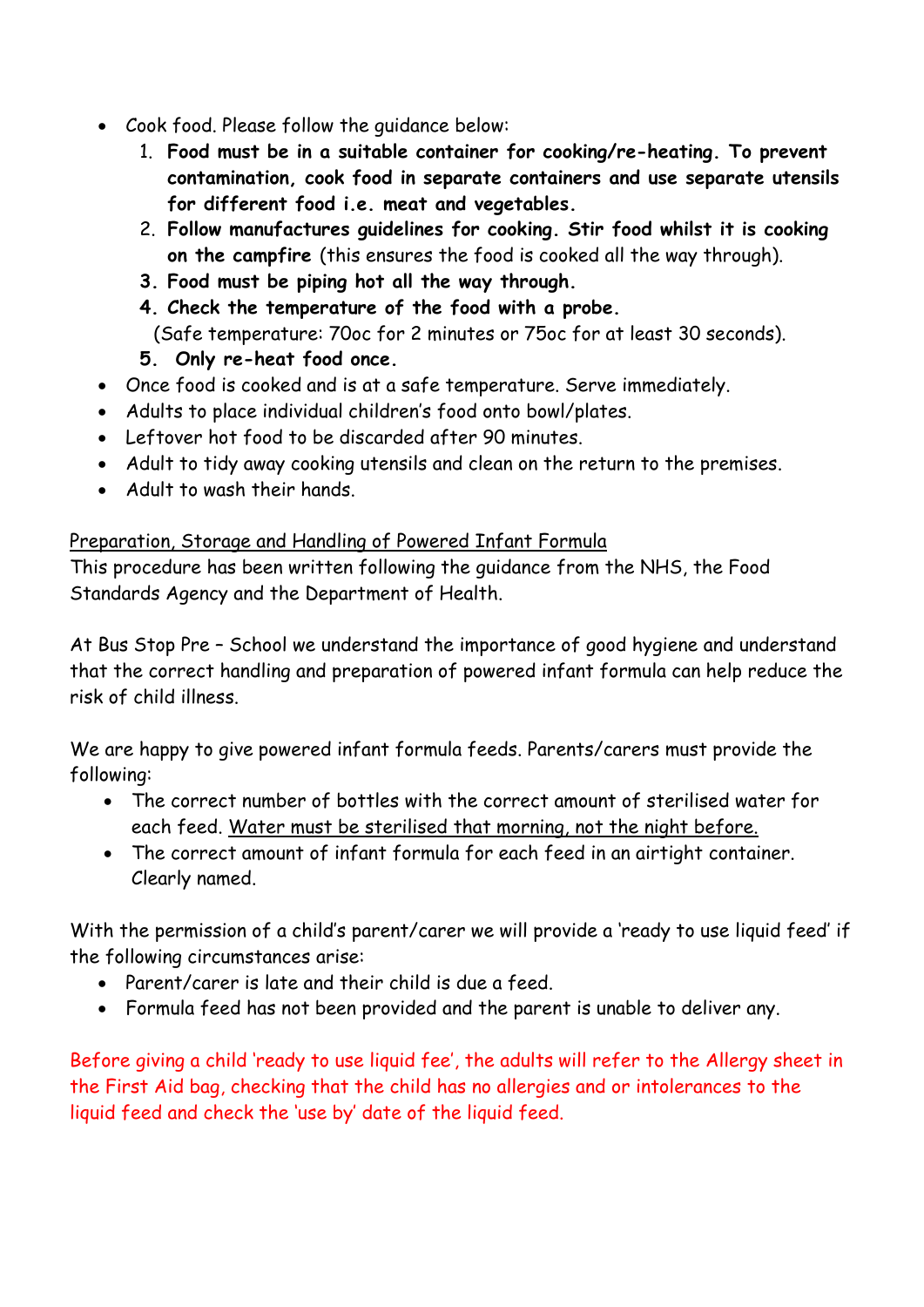- Cook food. Please follow the guidance below:
	- 1. **Food must be in a suitable container for cooking/re-heating. To prevent contamination, cook food in separate containers and use separate utensils for different food i.e. meat and vegetables.**
	- 2. **Follow manufactures guidelines for cooking. Stir food whilst it is cooking on the campfire** (this ensures the food is cooked all the way through).
	- **3. Food must be piping hot all the way through.**
	- **4. Check the temperature of the food with a probe.** 
		- (Safe temperature: 70oc for 2 minutes or 75oc for at least 30 seconds).
	- **5. Only re-heat food once.**
- Once food is cooked and is at a safe temperature. Serve immediately.
- Adults to place individual children's food onto bowl/plates.
- Leftover hot food to be discarded after 90 minutes.
- Adult to tidy away cooking utensils and clean on the return to the premises.
- Adult to wash their hands.

### Preparation, Storage and Handling of Powered Infant Formula

This procedure has been written following the guidance from the NHS, the Food Standards Agency and the Department of Health.

At Bus Stop Pre – School we understand the importance of good hygiene and understand that the correct handling and preparation of powered infant formula can help reduce the risk of child illness.

We are happy to give powered infant formula feeds. Parents/carers must provide the following:

- The correct number of bottles with the correct amount of sterilised water for each feed. Water must be sterilised that morning, not the night before.
- The correct amount of infant formula for each feed in an airtight container. Clearly named.

With the permission of a child's parent/carer we will provide a 'ready to use liquid feed' if the following circumstances arise:

- Parent/carer is late and their child is due a feed.
- Formula feed has not been provided and the parent is unable to deliver any.

Before giving a child 'ready to use liquid fee', the adults will refer to the Allergy sheet in the First Aid bag, checking that the child has no allergies and or intolerances to the liquid feed and check the 'use by' date of the liquid feed.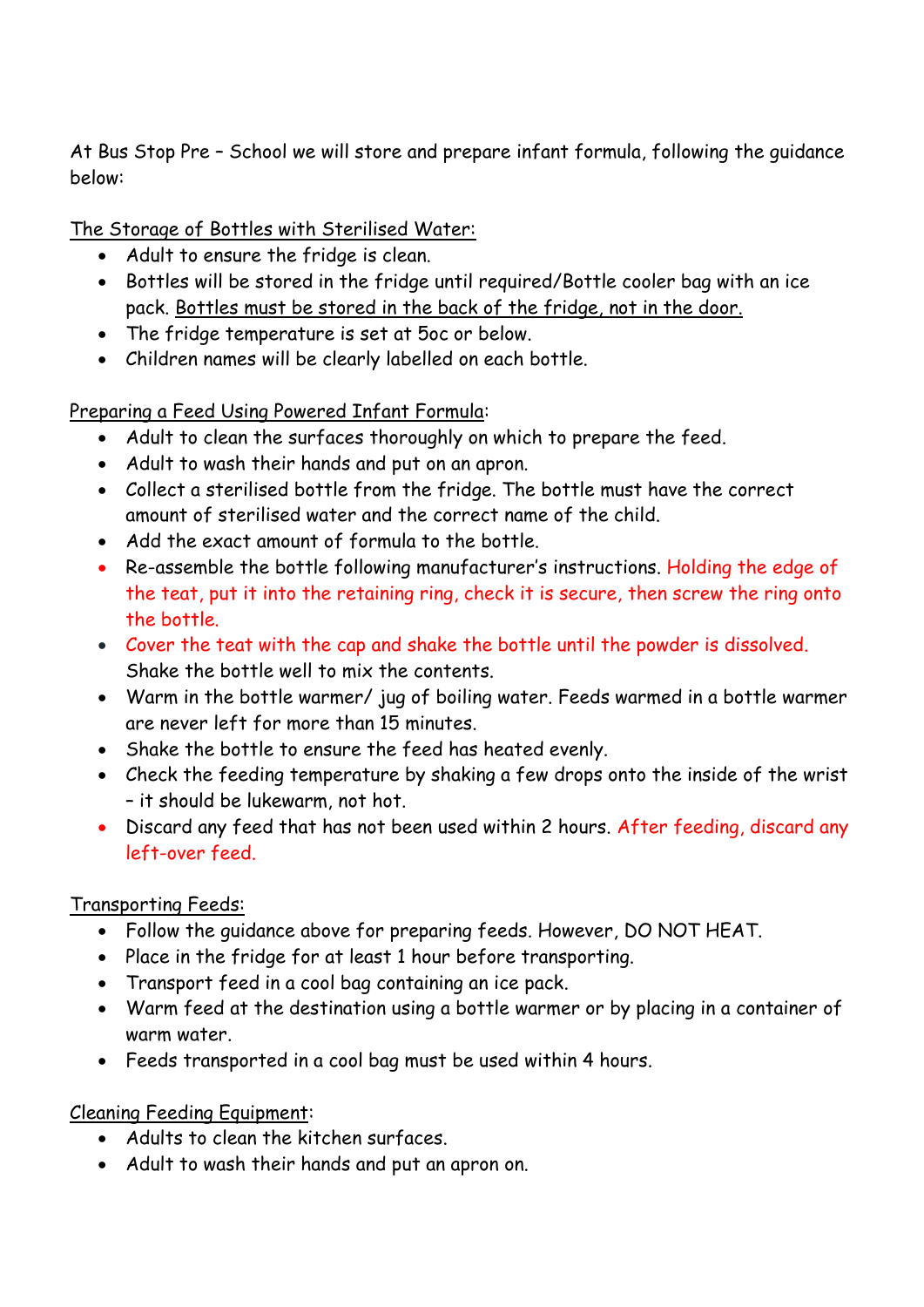At Bus Stop Pre – School we will store and prepare infant formula, following the guidance below:

The Storage of Bottles with Sterilised Water:

- Adult to ensure the fridge is clean.
- Bottles will be stored in the fridge until required/Bottle cooler bag with an ice pack. Bottles must be stored in the back of the fridge, not in the door.
- The fridge temperature is set at 5oc or below.
- Children names will be clearly labelled on each bottle.

Preparing a Feed Using Powered Infant Formula:

- Adult to clean the surfaces thoroughly on which to prepare the feed.
- Adult to wash their hands and put on an apron.
- Collect a sterilised bottle from the fridge. The bottle must have the correct amount of sterilised water and the correct name of the child.
- Add the exact amount of formula to the bottle.
- Re-assemble the bottle following manufacturer's instructions. Holding the edge of the teat, put it into the retaining ring, check it is secure, then screw the ring onto the bottle.
- Cover the teat with the cap and shake the bottle until the powder is dissolved. Shake the bottle well to mix the contents.
- Warm in the bottle warmer/ jug of boiling water. Feeds warmed in a bottle warmer are never left for more than 15 minutes.
- Shake the bottle to ensure the feed has heated evenly.
- Check the feeding temperature by shaking a few drops onto the inside of the wrist – it should be lukewarm, not hot.
- Discard any feed that has not been used within 2 hours. After feeding, discard any left-over feed.

Transporting Feeds:

- Follow the guidance above for preparing feeds. However, DO NOT HEAT.
- Place in the fridge for at least 1 hour before transporting.
- Transport feed in a cool bag containing an ice pack.
- Warm feed at the destination using a bottle warmer or by placing in a container of warm water.
- Feeds transported in a cool bag must be used within 4 hours.

Cleaning Feeding Equipment:

- Adults to clean the kitchen surfaces.
- Adult to wash their hands and put an apron on.